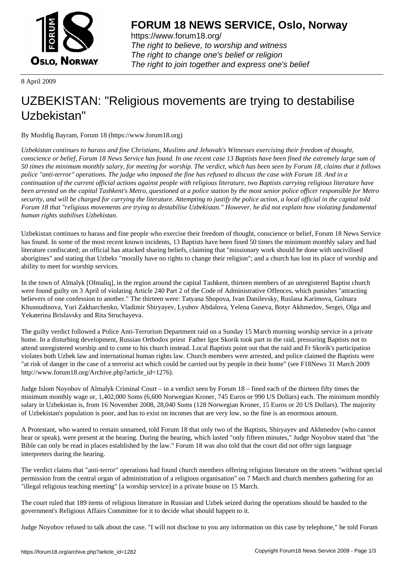

https://www.forum18.org/ The right to believe, to worship and witness The right to change one's belief or religion [The right to join together a](https://www.forum18.org/)nd express one's belief

8 April 2009

## [UZBEKISTAN:](https://www.forum18.org) "Religious movements are trying to destabilise Uzbekistan"

By Mushfig Bayram, Forum 18 (https://www.forum18.org)

*Uzbekistan continues to harass and fine Christians, Muslims and Jehovah's Witnesses exercising their freedom of thought, conscience or belief, Forum 18 News Service has found. In one recent case 13 Baptists have been fined the extremely large sum of 50 times the minimum monthly salary, for meeting for worship. The verdict, which has been seen by Forum 18, claims that it follows police "anti-terror" operations. The judge who imposed the fine has refused to discuss the case with Forum 18. And in a continuation of the current official actions against people with religious literature, two Baptists carrying religious literature have been arrested on the capital Tashkent's Metro, questioned at a police station by the most senior police officer responsible for Metro security, and will be charged for carrying the literature. Attempting to justify the police action, a local official in the capital told Forum 18 that "religious movements are trying to destabilise Uzbekistan." However, he did not explain how violating fundamental human rights stabilises Uzbekistan.*

Uzbekistan continues to harass and fine people who exercise their freedom of thought, conscience or belief, Forum 18 News Service has found. In some of the most recent known incidents, 13 Baptists have been fined 50 times the minimum monthly salary and had literature confiscated; an official has attacked sharing beliefs, claiming that "missionary work should be done with uncivilised aborigines" and stating that Uzbeks "morally have no rights to change their religion"; and a church has lost its place of worship and ability to meet for worship services.

In the town of Almalyk [Olmaliq], in the region around the capital Tashkent, thirteen members of an unregistered Baptist church were found guilty on 3 April of violating Article 240 Part 2 of the Code of Administrative Offences, which punishes "attracting believers of one confession to another." The thirteen were: Tatyana Shopova, Ivan Danilevsky, Ruslana Karimova, Gulnara Khusnudinova, Yuri Zakharchenko, Vladimir Shiryayev, Lyubov Abdalova, Yelena Guseva, Botyr Akhmedov, Sergei, Olga and Yekaterina Brislavsky and Rita Struchayeva.

The guilty verdict followed a Police Anti-Terrorism Department raid on a Sunday 15 March morning worship service in a private home. In a disturbing development, Russian Orthodox priest Father Igor Skorik took part in the raid, pressuring Baptists not to attend unregistered worship and to come to his church instead. Local Baptists point out that the raid and Fr Skorik's participation violates both Uzbek law and international human rights law. Church members were arrested, and police claimed the Baptists were "at risk of danger in the case of a terrorist act which could be carried out by people in their home" (see F18News 31 March 2009 http://www.forum18.org/Archive.php?article\_id=1276).

Judge Islom Noyobov of Almalyk Criminal Court – in a verdict seen by Forum 18 – fined each of the thirteen fifty times the minimum monthly wage or, 1,402,000 Soms (6,600 Norwegian Kroner, 745 Euros or 990 US Dollars) each. The minimum monthly salary in Uzbekistan is, from 16 November 2008, 28,040 Soms (128 Norwegian Kroner, 15 Euros or 20 US Dollars). The majority of Uzbekistan's population is poor, and has to exist on incomes that are very low, so the fine is an enormous amount.

A Protestant, who wanted to remain unnamed, told Forum 18 that only two of the Baptists, Shiryayev and Akhmedov (who cannot hear or speak), were present at the hearing. During the hearing, which lasted "only fifteen minutes," Judge Noyobov stated that "the Bible can only be read in places established by the law." Forum 18 was also told that the court did not offer sign language interpreters during the hearing.

The verdict claims that "anti-terror" operations had found church members offering religious literature on the streets "without special permission from the central organ of administration of a religious organisation" on 7 March and church members gathering for an "illegal religious teaching meeting" [a worship service] in a private house on 15 March.

The court ruled that 189 items of religious literature in Russian and Uzbek seized during the operations should be handed to the government's Religious Affairs Committee for it to decide what should happen to it.

Judge Noyobov refused to talk about the case. "I will not disclose to you any information on this case by telephone," he told Forum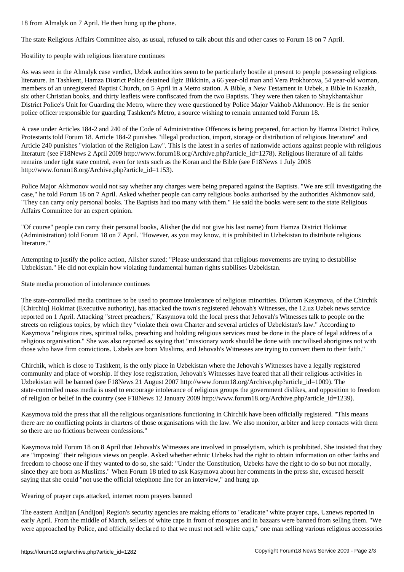The state Religious Affairs Committee also, as usual, refused to talk about this and other cases to Forum 18 on 7 April.

Hostility to people with religious literature continues

As was seen in the Almalyk case verdict, Uzbek authorities seem to be particularly hostile at present to people possessing religious literature. In Tashkent, Hamza District Police detained Ilgiz Bikkinin, a 66 year-old man and Vera Prokhorova, 54 year-old woman, members of an unregistered Baptist Church, on 5 April in a Metro station. A Bible, a New Testament in Uzbek, a Bible in Kazakh, six other Christian books, and thirty leaflets were confiscated from the two Baptists. They were then taken to Shaykhantakhur District Police's Unit for Guarding the Metro, where they were questioned by Police Major Vakhob Akhmonov. He is the senior police officer responsible for guarding Tashkent's Metro, a source wishing to remain unnamed told Forum 18.

A case under Articles 184-2 and 240 of the Code of Administrative Offences is being prepared, for action by Hamza District Police, Protestants told Forum 18. Article 184-2 punishes "illegal production, import, storage or distribution of religious literature" and Article 240 punishes "violation of the Religion Law". This is the latest in a series of nationwide actions against people with religious literature (see F18News 2 April 2009 http://www.forum18.org/Archive.php?article\_id=1278). Religious literature of all faiths remains under tight state control, even for texts such as the Koran and the Bible (see F18News 1 July 2008 http://www.forum18.org/Archive.php?article\_id=1153).

Police Major Akhmonov would not say whether any charges were being prepared against the Baptists. "We are still investigating the case," he told Forum 18 on 7 April. Asked whether people can carry religious books authorised by the authorities Akhmonov said, "They can carry only personal books. The Baptists had too many with them." He said the books were sent to the state Religious Affairs Committee for an expert opinion.

"Of course" people can carry their personal books, Alisher (he did not give his last name) from Hamza District Hokimat (Administration) told Forum 18 on 7 April. "However, as you may know, it is prohibited in Uzbekistan to distribute religious literature."

Attempting to justify the police action, Alisher stated: "Please understand that religious movements are trying to destabilise Uzbekistan." He did not explain how violating fundamental human rights stabilises Uzbekistan.

State media promotion of intolerance continues

The state-controlled media continues to be used to promote intolerance of religious minorities. Dilorom Kasymova, of the Chirchik [Chirchiq] Hokimat (Executive authority), has attacked the town's registered Jehovah's Witnesses, the 12.uz Uzbek news service reported on 1 April. Attacking "street preachers," Kasymova told the local press that Jehovah's Witnesses talk to people on the streets on religious topics, by which they "violate their own Charter and several articles of Uzbekistan's law." According to Kasymova "religious rites, spiritual talks, preaching and holding religious services must be done in the place of legal address of a religious organisation." She was also reported as saying that "missionary work should be done with uncivilised aborigines not with those who have firm convictions. Uzbeks are born Muslims, and Jehovah's Witnesses are trying to convert them to their faith."

Chirchik, which is close to Tashkent, is the only place in Uzbekistan where the Jehovah's Witnesses have a legally registered community and place of worship. If they lose registration, Jehovah's Witnesses have feared that all their religious activities in Uzbekistan will be banned (see F18News 21 August 2007 http://www.forum18.org/Archive.php?article\_id=1009). The state-controlled mass media is used to encourage intolerance of religious groups the government dislikes, and opposition to freedom of religion or belief in the country (see F18News 12 January 2009 http://www.forum18.org/Archive.php?article\_id=1239).

Kasymova told the press that all the religious organisations functioning in Chirchik have been officially registered. "This means there are no conflicting points in charters of those organisations with the law. We also monitor, arbiter and keep contacts with them so there are no frictions between confessions."

Kasymova told Forum 18 on 8 April that Jehovah's Witnesses are involved in proselytism, which is prohibited. She insisted that they are "imposing" their religious views on people. Asked whether ethnic Uzbeks had the right to obtain information on other faiths and freedom to choose one if they wanted to do so, she said: "Under the Constitution, Uzbeks have the right to do so but not morally, since they are born as Muslims." When Forum 18 tried to ask Kasymova about her comments in the press she, excused herself saying that she could "not use the official telephone line for an interview," and hung up.

Wearing of prayer caps attacked, internet room prayers banned

The eastern Andijan [Andijon] Region's security agencies are making efforts to "eradicate" white prayer caps, Uznews reported in early April. From the middle of March, sellers of white caps in front of mosques and in bazaars were banned from selling them. "We were approached by Police, and officially declared to that we must not sell white caps," one man selling various religious accessories